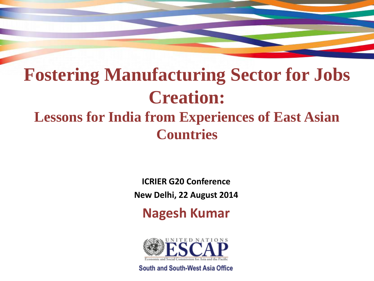## **Fostering Manufacturing Sector for Jobs Creation: Lessons for India from Experiences of East Asian Countries**

**ICRIER G20 Conference New Delhi, 22 August 2014**

**Nagesh Kumar**



South and South-West Asia Office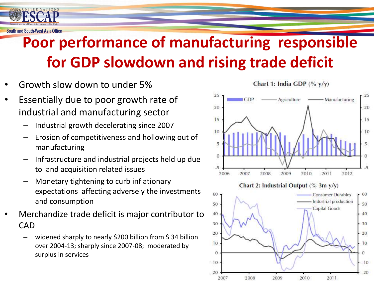

#### **Poor performance of manufacturing responsible for GDP slowdown and rising trade deficit**

- Growth slow down to under 5%
- Essentially due to poor growth rate of industrial and manufacturing sector
	- Industrial growth decelerating since 2007
	- Erosion of competitiveness and hollowing out of manufacturing
	- Infrastructure and industrial projects held up due to land acquisition related issues
	- Monetary tightening to curb inflationary expectations affecting adversely the investments and consumption
- Merchandize trade deficit is major contributor to CAD
	- widened sharply to nearly \$200 billion from \$ 34 billion over 2004-13; sharply since 2007-08; moderated by surplus in services

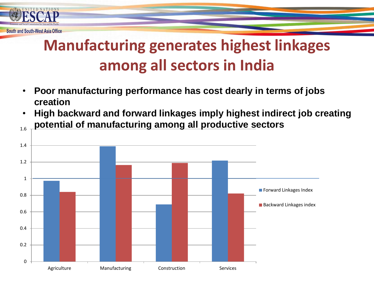

### **Manufacturing generates highest linkages among all sectors in India**

- **Poor manufacturing performance has cost dearly in terms of jobs creation**
- 1.6 • **High backward and forward linkages imply highest indirect job creating potential of manufacturing among all productive sectors**

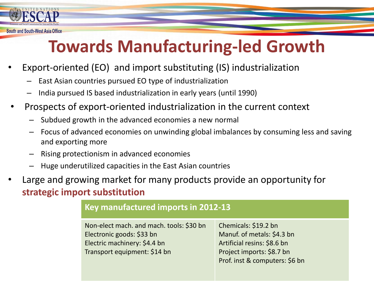

# **Towards Manufacturing-led Growth**

- Export-oriented (EO) and import substituting (IS) industrialization
	- East Asian countries pursued EO type of industrialization
	- India pursued IS based industrialization in early years (until 1990)
- Prospects of export-oriented industrialization in the current context
	- Subdued growth in the advanced economies a new normal
	- Focus of advanced economies on unwinding global imbalances by consuming less and saving and exporting more
	- Rising protectionism in advanced economies
	- Huge underutilized capacities in the East Asian countries
- Large and growing market for many products provide an opportunity for **strategic import substitution**

| Key manufactured imports in 2012-13                                                                                                   |                                                                                                                                                  |
|---------------------------------------------------------------------------------------------------------------------------------------|--------------------------------------------------------------------------------------------------------------------------------------------------|
| Non-elect mach. and mach. tools: \$30 bn<br>Electronic goods: \$33 bn<br>Electric machinery: \$4.4 bn<br>Transport equipment: \$14 bn | Chemicals: \$19.2 bn<br>Manuf. of metals: \$4.3 bn<br>Artificial resins: \$8.6 bn<br>Project imports: \$8.7 bn<br>Prof. inst & computers: \$6 bn |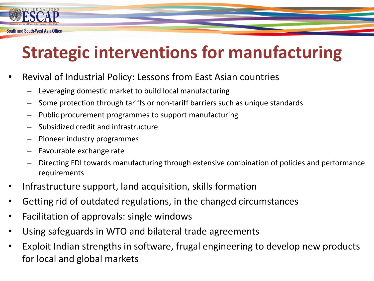

# **Strategic interventions for manufacturing**

- Revival of Industrial Policy: Lessons from East Asian countries
	- Leveraging domestic market to build local manufacturing
	- Some protection through tariffs or non-tariff barriers such as unique standards
	- Public procurement programmes to support manufacturing
	- Subsidized credit and infrastructure
	- Pioneer industry programmes
	- Favourable exchange rate
	- Directing FDI towards manufacturing through extensive combination of policies and performance requirements
- Infrastructure support, land acquisition, skills formation
- Getting rid of outdated regulations, in the changed circumstances
- Facilitation of approvals: single windows
- Using safeguards in WTO and bilateral trade agreements
- Exploit Indian strengths in software, frugal engineering to develop new products for local and global markets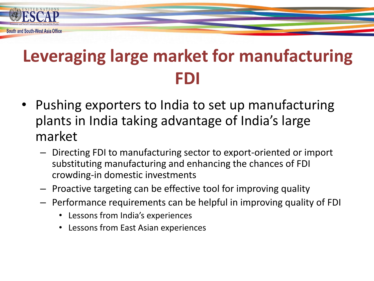

# **Leveraging large market for manufacturing FDI**

- Pushing exporters to India to set up manufacturing plants in India taking advantage of India's large market
	- Directing FDI to manufacturing sector to export-oriented or import substituting manufacturing and enhancing the chances of FDI crowding-in domestic investments
	- Proactive targeting can be effective tool for improving quality
	- Performance requirements can be helpful in improving quality of FDI
		- Lessons from India's experiences
		- Lessons from East Asian experiences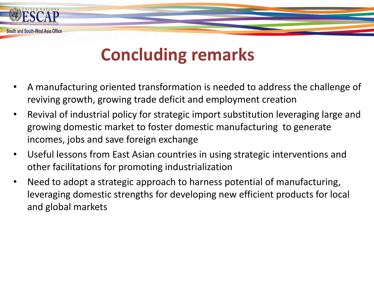### **Concluding remarks**

South and South-West Asia Office

- A manufacturing oriented transformation is needed to address the challenge of reviving growth, growing trade deficit and employment creation
- Revival of industrial policy for strategic import substitution leveraging large and growing domestic market to foster domestic manufacturing to generate incomes, jobs and save foreign exchange
- Useful lessons from East Asian countries in using strategic interventions and other facilitations for promoting industrialization
- Need to adopt a strategic approach to harness potential of manufacturing, leveraging domestic strengths for developing new efficient products for local and global markets